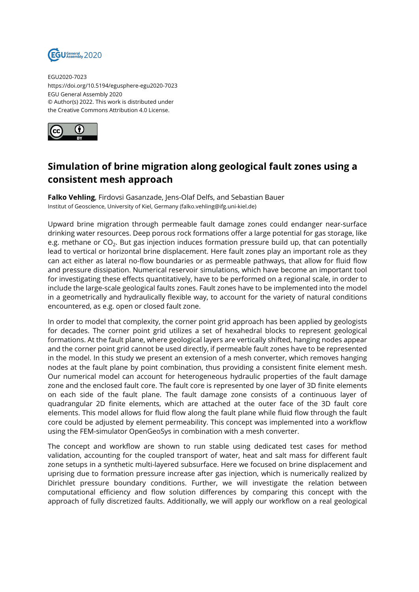

EGU2020-7023 https://doi.org/10.5194/egusphere-egu2020-7023 EGU General Assembly 2020 © Author(s) 2022. This work is distributed under the Creative Commons Attribution 4.0 License.



## **Simulation of brine migration along geological fault zones using a consistent mesh approach**

**Falko Vehling**, Firdovsi Gasanzade, Jens-Olaf Delfs, and Sebastian Bauer Institut of Geoscience, University of Kiel, Germany (falko.vehling@ifg.uni-kiel.de)

Upward brine migration through permeable fault damage zones could endanger near-surface drinking water resources. Deep porous rock formations offer a large potential for gas storage, like e.g. methane or CO $_2$ . But gas injection induces formation pressure build up, that can potentially lead to vertical or horizontal brine displacement. Here fault zones play an important role as they can act either as lateral no-flow boundaries or as permeable pathways, that allow for fluid flow and pressure dissipation. Numerical reservoir simulations, which have become an important tool for investigating these effects quantitatively, have to be performed on a regional scale, in order to include the large-scale geological faults zones. Fault zones have to be implemented into the model in a geometrically and hydraulically flexible way, to account for the variety of natural conditions encountered, as e.g. open or closed fault zone.

In order to model that complexity, the corner point grid approach has been applied by geologists for decades. The corner point grid utilizes a set of hexahedral blocks to represent geological formations. At the fault plane, where geological layers are vertically shifted, hanging nodes appear and the corner point grid cannot be used directly, if permeable fault zones have to be represented in the model. In this study we present an extension of a mesh converter, which removes hanging nodes at the fault plane by point combination, thus providing a consistent finite element mesh. Our numerical model can account for heterogeneous hydraulic properties of the fault damage zone and the enclosed fault core. The fault core is represented by one layer of 3D finite elements on each side of the fault plane. The fault damage zone consists of a continuous layer of quadrangular 2D finite elements, which are attached at the outer face of the 3D fault core elements. This model allows for fluid flow along the fault plane while fluid flow through the fault core could be adjusted by element permeability. This concept was implemented into a workflow using the FEM-simulator OpenGeoSys in combination with a mesh converter.

The concept and workflow are shown to run stable using dedicated test cases for method validation, accounting for the coupled transport of water, heat and salt mass for different fault zone setups in a synthetic multi-layered subsurface. Here we focused on brine displacement and uprising due to formation pressure increase after gas injection, which is numerically realized by Dirichlet pressure boundary conditions. Further, we will investigate the relation between computational efficiency and flow solution differences by comparing this concept with the approach of fully discretized faults. Additionally, we will apply our workflow on a real geological